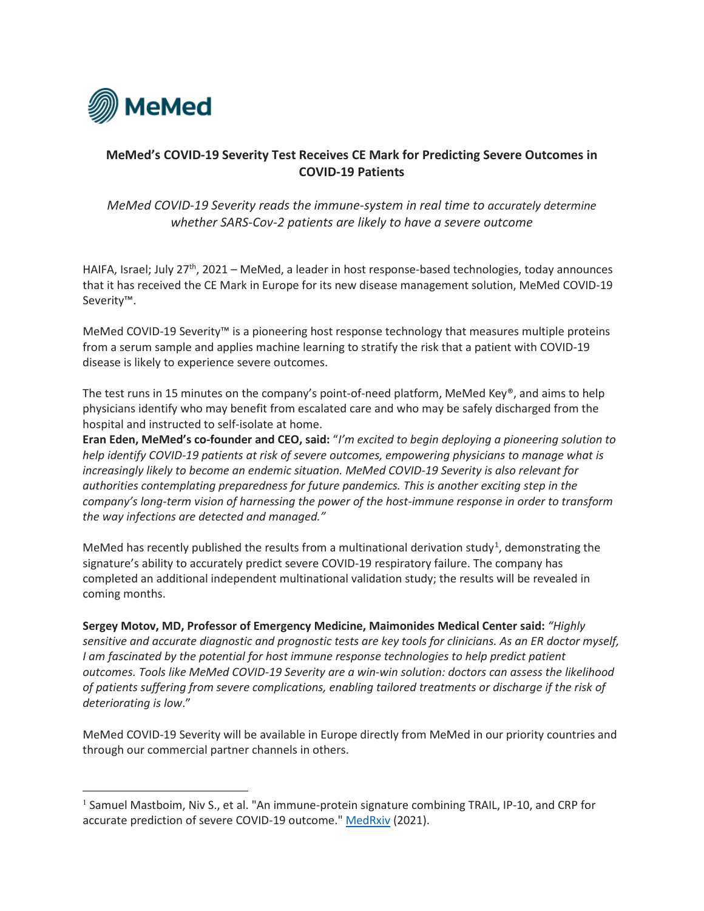

# **MeMed's COVID-19 Severity Test Receives CE Mark for Predicting Severe Outcomes in COVID-19 Patients**

# *MeMed COVID-19 Severity reads the immune-system in real time to accurately determine whether SARS-Cov-2 patients are likely to have a severe outcome*

HAIFA, Israel; July  $27<sup>th</sup>$ , 2021 – MeMed, a leader in host response-based technologies, today announces that it has received the CE Mark in Europe for its new disease management solution, MeMed COVID-19 Severity™.

MeMed COVID-19 Severity™ is a pioneering host response technology that measures multiple proteins from a serum sample and applies machine learning to stratify the risk that a patient with COVID-19 disease is likely to experience severe outcomes.

The test runs in 15 minutes on the company's point-of-need platform, MeMed Key®, and aims to help physicians identify who may benefit from escalated care and who may be safely discharged from the hospital and instructed to self-isolate at home.

**Eran Eden, MeMed's co-founder and CEO, said:** "*I'm excited to begin deploying a pioneering solution to help identify COVID-19 patients at risk of severe outcomes, empowering physicians to manage what is increasingly likely to become an endemic situation. MeMed COVID-19 Severity is also relevant for authorities contemplating preparedness for future pandemics. This is another exciting step in the company's long-term vision of harnessing the power of the host-immune response in order to transform the way infections are detected and managed."*

MeMed has recently published the results from a multinational derivation study<sup>[1](#page-0-0)</sup>, demonstrating the signature's ability to accurately predict severe COVID-19 respiratory failure. The company has completed an additional independent multinational validation study; the results will be revealed in coming months.

**Sergey Motov, MD, Professor of Emergency Medicine, Maimonides Medical Center said:** *"Highly sensitive and accurate diagnostic and prognostic tests are key tools for clinicians. As an ER doctor myself, I am fascinated by the potential for host immune response technologies to help predict patient outcomes. Tools like MeMed COVID-19 Severity are a win-win solution: doctors can assess the likelihood of patients suffering from severe complications, enabling tailored treatments or discharge if the risk of deteriorating is low*."

MeMed COVID-19 Severity will be available in Europe directly from MeMed in our priority countries and through our commercial partner channels in others.

<span id="page-0-0"></span><sup>&</sup>lt;sup>1</sup> Samuel Mastboim, Niv S., et al. "An immune-protein signature combining TRAIL, IP-10, and CRP for accurate prediction of severe COVID-19 outcome.[" MedRxiv](https://www.medrxiv.org/content/10.1101/2021.06.27.21259196v1) (2021).